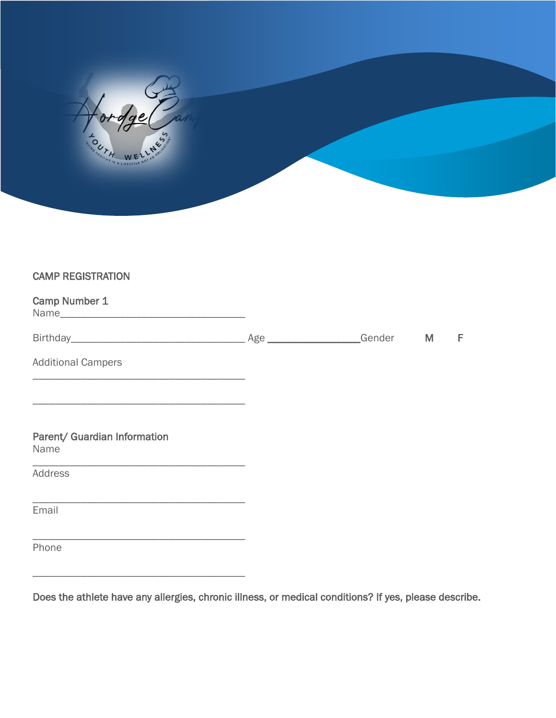| <b>COLLA WELLAGE</b> |  |  |
|----------------------|--|--|

## CAMP REGISTRATION

| Camp Number 1                                                                                                                    |  |   |
|----------------------------------------------------------------------------------------------------------------------------------|--|---|
|                                                                                                                                  |  | F |
| <b>Additional Campers</b>                                                                                                        |  |   |
| <u> 1989 - Johann John Stone, markin film ar yn y brenin y brenin y brenin y brenin y brenin y brenin y brenin y</u>             |  |   |
| Parent/ Guardian Information<br>Name                                                                                             |  |   |
| <u> 1989 - Johann John Stone, markin film yn y sefydlu yn y gynnwys y gynnwys y gynnwys y gynnwys y gynnwys y gyn</u><br>Address |  |   |
| <u> 1989 - Johann Stoff, deutscher Stoff, der Stoff, der Stoff, der Stoff, der Stoff, der Stoff, der Stoff, der S</u><br>Email   |  |   |
| <u> 1989 - Andrea Stadt Britain, amerikansk politiker (d. 1989)</u><br>Phone                                                     |  |   |
|                                                                                                                                  |  |   |

Does the athlete have any allergies, chronic illness, or medical conditions? If yes, please describe.